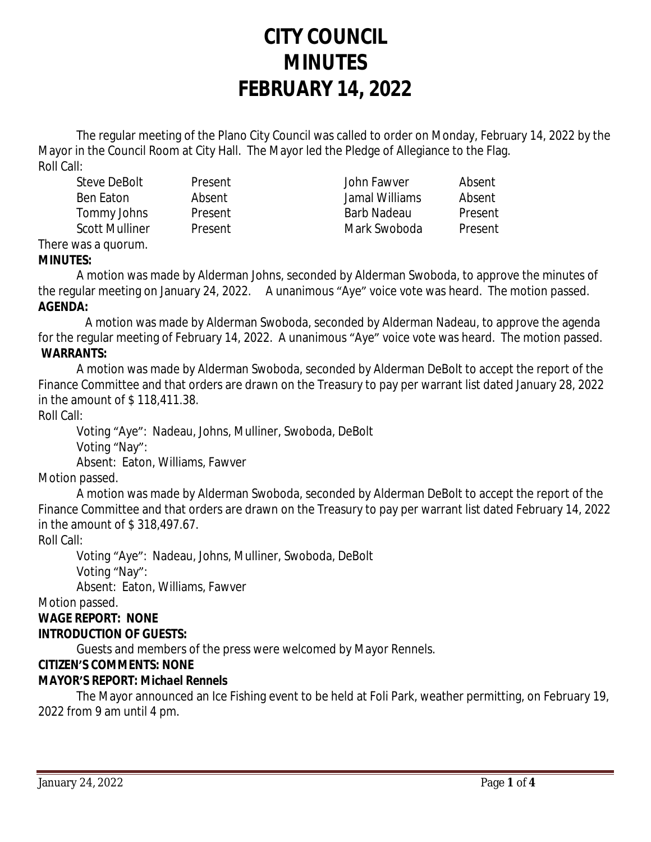# **CITY COUNCIL MINUTES FEBRUARY 14, 2022**

The regular meeting of the Plano City Council was called to order on Monday, February 14, 2022 by the Mayor in the Council Room at City Hall. The Mayor led the Pledge of Allegiance to the Flag. Roll Call:

Steve DeBolt Present John Fawver Absent Ben Eaton Absent Jamal Williams Absent Tommy Johns Present Barb Nadeau Present Scott Mulliner and Present and Mark Swoboda Present

#### There was a quorum. **MINUTES:**

A motion was made by Alderman Johns, seconded by Alderman Swoboda, to approve the minutes of the regular meeting on January 24, 2022. A unanimous "Aye" voice vote was heard. The motion passed. **AGENDA:**

 A motion was made by Alderman Swoboda, seconded by Alderman Nadeau, to approve the agenda for the regular meeting of February 14, 2022. A unanimous "Aye" voice vote was heard. The motion passed. **WARRANTS:**

A motion was made by Alderman Swoboda, seconded by Alderman DeBolt to accept the report of the Finance Committee and that orders are drawn on the Treasury to pay per warrant list dated January 28, 2022 in the amount of \$ 118,411.38.

Roll Call:

Voting "Aye": Nadeau, Johns, Mulliner, Swoboda, DeBolt Voting "Nay":

Absent: Eaton, Williams, Fawver

Motion passed.

A motion was made by Alderman Swoboda, seconded by Alderman DeBolt to accept the report of the Finance Committee and that orders are drawn on the Treasury to pay per warrant list dated February 14, 2022 in the amount of \$ 318,497.67.

Roll Call:

Voting "Aye": Nadeau, Johns, Mulliner, Swoboda, DeBolt Voting "Nay": Absent: Eaton, Williams, Fawver

Motion passed.

#### **WAGE REPORT: NONE INTRODUCTION OF GUESTS:**

Guests and members of the press were welcomed by Mayor Rennels.

# **CITIZEN'S COMMENTS: NONE**

# **MAYOR'S REPORT:** *Michael Rennels*

The Mayor announced an Ice Fishing event to be held at Foli Park, weather permitting, on February 19, 2022 from 9 am until 4 pm.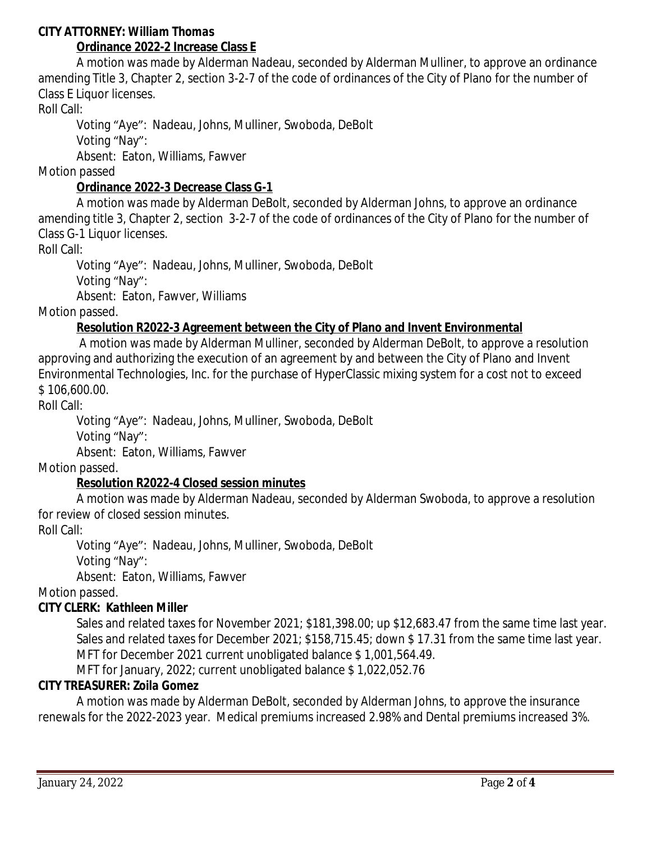#### **CITY ATTORNEY:** *William Thomas*

# **Ordinance 2022-2 Increase Class E**

A motion was made by Alderman Nadeau, seconded by Alderman Mulliner, to approve an ordinance amending Title 3, Chapter 2, section 3-2-7 of the code of ordinances of the City of Plano for the number of Class E Liquor licenses.

Roll Call:

Voting "Aye": Nadeau, Johns, Mulliner, Swoboda, DeBolt

Voting "Nay":

Absent: Eaton, Williams, Fawver

Motion passed

#### **Ordinance 2022-3 Decrease Class G-1**

A motion was made by Alderman DeBolt, seconded by Alderman Johns, to approve an ordinance amending title 3, Chapter 2, section 3-2-7 of the code of ordinances of the City of Plano for the number of Class G-1 Liquor licenses.

Roll Call:

Voting "Aye": Nadeau, Johns, Mulliner, Swoboda, DeBolt Voting "Nay": Absent: Eaton, Fawver, Williams

Motion passed.

#### **Resolution R2022-3 Agreement between the City of Plano and Invent Environmental**

 A motion was made by Alderman Mulliner, seconded by Alderman DeBolt, to approve a resolution approving and authorizing the execution of an agreement by and between the City of Plano and Invent Environmental Technologies, Inc. for the purchase of HyperClassic mixing system for a cost not to exceed \$ 106,600.00.

Roll Call:

Voting "Aye": Nadeau, Johns, Mulliner, Swoboda, DeBolt Voting "Nay":

Absent: Eaton, Williams, Fawver

Motion passed.

#### **Resolution R2022-4 Closed session minutes**

A motion was made by Alderman Nadeau, seconded by Alderman Swoboda, to approve a resolution for review of closed session minutes.

Roll Call:

Voting "Aye": Nadeau, Johns, Mulliner, Swoboda, DeBolt Voting "Nay": Absent: Eaton, Williams, Fawver

Motion passed.

#### **CITY CLERK:** *Kathleen Miller*

Sales and related taxes for November 2021; \$181,398.00; up \$12,683.47 from the same time last year. Sales and related taxes for December 2021; \$158,715.45; down \$ 17.31 from the same time last year. MFT for December 2021 current unobligated balance \$ 1,001,564.49.

MFT for January, 2022; current unobligated balance \$ 1,022,052.76

#### **CITY TREASURER***: Zoila Gomez*

A motion was made by Alderman DeBolt, seconded by Alderman Johns, to approve the insurance renewals for the 2022-2023 year. Medical premiums increased 2.98% and Dental premiums increased 3%.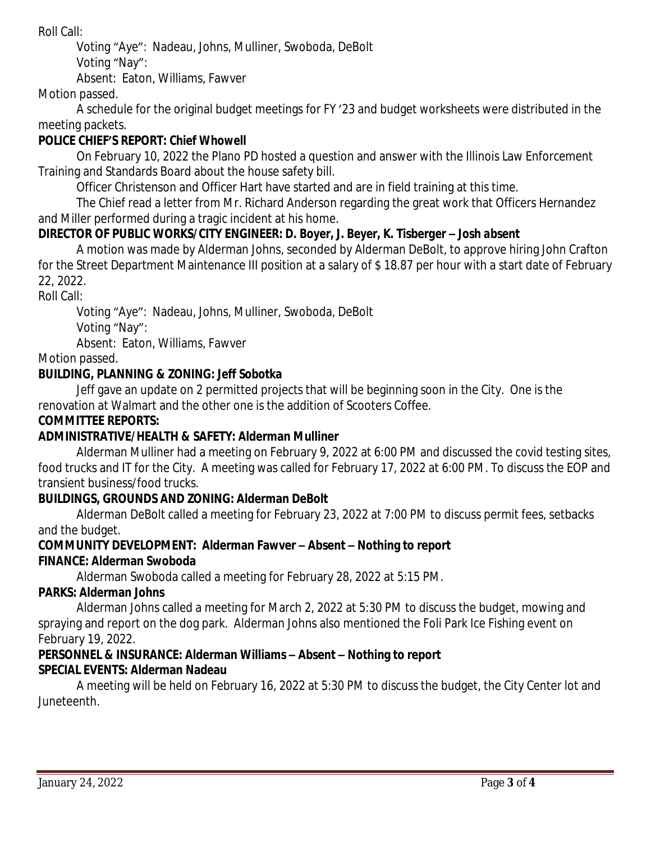Roll Call:

Voting "Aye": Nadeau, Johns, Mulliner, Swoboda, DeBolt

Voting "Nay":

Absent: Eaton, Williams, Fawver

Motion passed.

A schedule for the original budget meetings for FY '23 and budget worksheets were distributed in the meeting packets.

# **POLICE CHIEF'S REPORT:** *Chief Whowell*

On February 10, 2022 the Plano PD hosted a question and answer with the Illinois Law Enforcement Training and Standards Board about the house safety bill.

Officer Christenson and Officer Hart have started and are in field training at this time.

The Chief read a letter from Mr. Richard Anderson regarding the great work that Officers Hernandez and Miller performed during a tragic incident at his home.

# **DIRECTOR OF PUBLIC WORKS/CITY ENGINEER***: D. Boyer, J. Beyer, K. Tisberger – Josh absent*

A motion was made by Alderman Johns, seconded by Alderman DeBolt, to approve hiring John Crafton for the Street Department Maintenance III position at a salary of \$ 18.87 per hour with a start date of February 22, 2022.

Roll Call:

Voting "Aye": Nadeau, Johns, Mulliner, Swoboda, DeBolt Voting "Nay": Absent: Eaton, Williams, Fawver

Motion passed.

### **BUILDING, PLANNING & ZONING:** *Jeff Sobotka*

Jeff gave an update on 2 permitted projects that will be beginning soon in the City. One is the renovation at Walmart and the other one is the addition of Scooters Coffee.

#### **COMMITTEE REPORTS:**

# **ADMINISTRATIVE/HEALTH & SAFETY: Alderman Mulliner**

Alderman Mulliner had a meeting on February 9, 2022 at 6:00 PM and discussed the covid testing sites, food trucks and IT for the City. A meeting was called for February 17, 2022 at 6:00 PM. To discuss the EOP and transient business/food trucks.

#### **BUILDINGS, GROUNDS AND ZONING: Alderman DeBolt**

Alderman DeBolt called a meeting for February 23, 2022 at 7:00 PM to discuss permit fees, setbacks and the budget.

# **COMMUNITY DEVELOPMENT: Alderman Fawver – Absent – Nothing to report**

# **FINANCE: Alderman Swoboda**

Alderman Swoboda called a meeting for February 28, 2022 at 5:15 PM.

#### **PARKS: Alderman Johns**

Alderman Johns called a meeting for March 2, 2022 at 5:30 PM to discuss the budget, mowing and spraying and report on the dog park. Alderman Johns also mentioned the Foli Park Ice Fishing event on February 19, 2022.

#### **PERSONNEL & INSURANCE: Alderman Williams – Absent – Nothing to report SPECIAL EVENTS: Alderman Nadeau**

A meeting will be held on February 16, 2022 at 5:30 PM to discuss the budget, the City Center lot and Juneteenth.